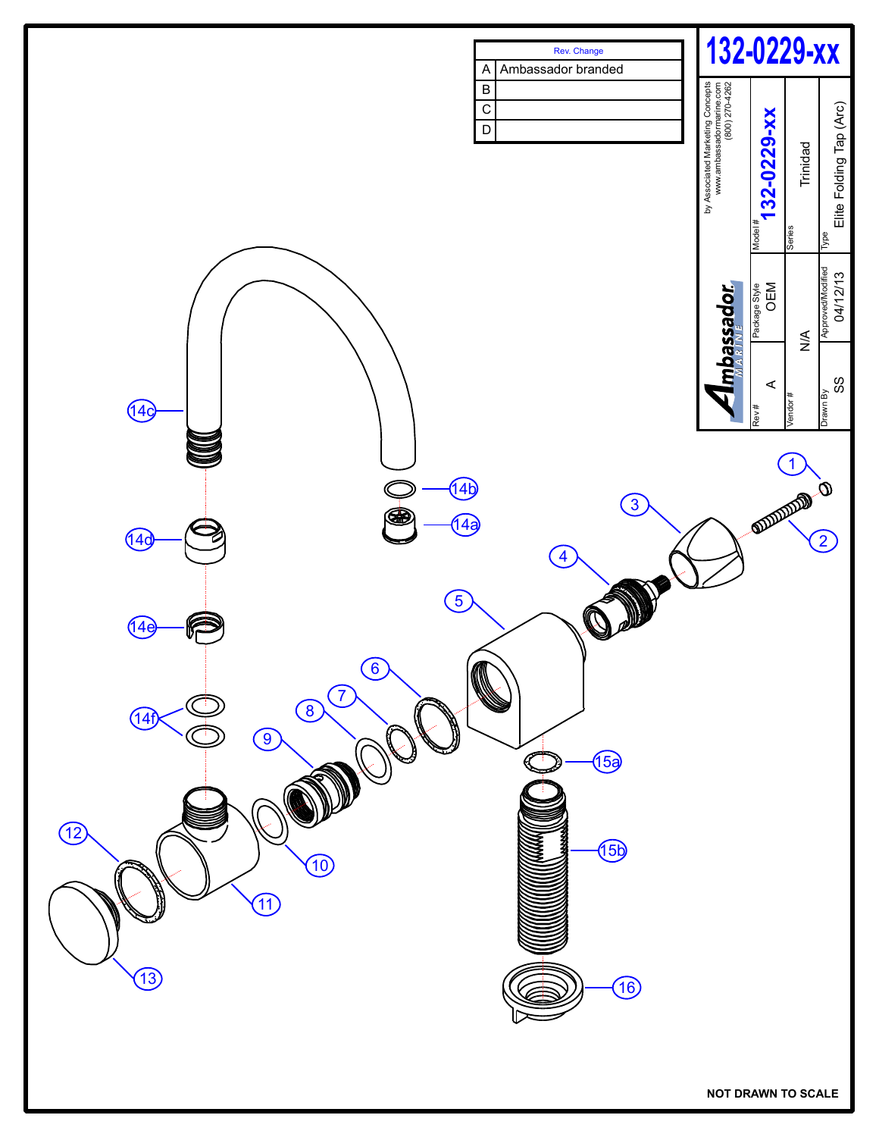